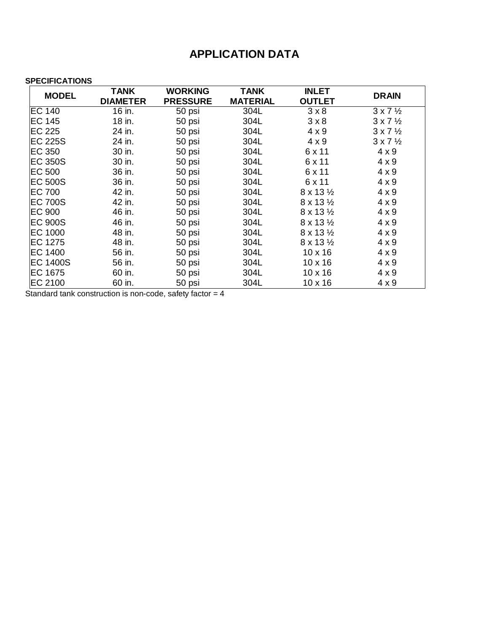## **APPLICATION DATA**

## **SPECIFICATIONS**

| <b>MODEL</b>    | TANK            | <b>WORKING</b>  | <b>TANK</b>     | <b>INLET</b>              |                          |  |
|-----------------|-----------------|-----------------|-----------------|---------------------------|--------------------------|--|
|                 | <b>DIAMETER</b> | <b>PRESSURE</b> | <b>MATERIAL</b> | <b>OUTLET</b>             | <b>DRAIN</b>             |  |
| <b>EC 140</b>   | 16 in.          | 50 psi          | 304L            | $3 \times 8$              | $3 \times 7 \frac{1}{2}$ |  |
| EC 145          | 18 in.          | 50 psi          | 304L            | 3 × 8                     | $3 \times 7 \frac{1}{2}$ |  |
| <b>EC 225</b>   | 24 in.          | 50 psi          | 304L            | $4 \times 9$              | $3 \times 7 \frac{1}{2}$ |  |
| <b>EC 225S</b>  | 24 in.          | 50 psi          | 304L            | $4 \times 9$              | $3 \times 7 \frac{1}{2}$ |  |
| <b>EC 350</b>   | 30 in.          | 50 psi          | 304L            | 6 x 11                    | $4 \times 9$             |  |
| <b>EC 350S</b>  | 30 in.          | 50 psi          | 304L            | 6 x 11                    | $4 \times 9$             |  |
| <b>EC 500</b>   | 36 in.          | 50 psi          | 304L            | 6 x 11                    | $4 \times 9$             |  |
| <b>EC 500S</b>  | 36 in.          | 50 psi          | 304L            | 6 x 11                    | $4 \times 9$             |  |
| <b>EC 700</b>   | 42 in.          | 50 psi          | 304L            | $8 \times 13 \frac{1}{2}$ | $4 \times 9$             |  |
| <b>EC 700S</b>  | 42 in.          | 50 psi          | 304L            | $8 \times 13 \frac{1}{2}$ | $4 \times 9$             |  |
| <b>EC 900</b>   | 46 in.          | 50 psi          | 304L            | $8 \times 13 \frac{1}{2}$ | $4 \times 9$             |  |
| <b>EC 900S</b>  | 46 in.          | 50 psi          | 304L            | $8 \times 13 \frac{1}{2}$ | $4 \times 9$             |  |
| EC 1000         | 48 in.          | 50 psi          | 304L            | $8 \times 13 \frac{1}{2}$ | $4 \times 9$             |  |
| EC 1275         | 48 in.          | 50 psi          | 304L            | $8 \times 13 \frac{1}{2}$ | $4 \times 9$             |  |
| <b>EC 1400</b>  | 56 in.          | 50 psi          | 304L            | $10 \times 16$            | $4 \times 9$             |  |
| <b>EC 1400S</b> | 56 in.          | 50 psi          | 304L            | $10 \times 16$            | $4 \times 9$             |  |
| EC 1675         | 60 in.          | 50 psi          | 304L            | $10 \times 16$            | $4 \times 9$             |  |
| EC 2100         | 60 in.          | 50 psi          | 304L            | $10 \times 16$            | $4 \times 9$             |  |

Standard tank construction is non-code, safety factor = 4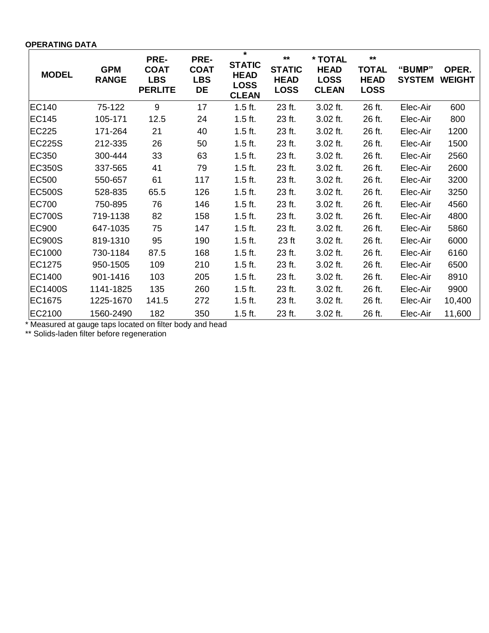**OPERATING DATA**

| <b>MODEL</b>  | <b>GPM</b><br><b>RANGE</b> | PRE-<br><b>COAT</b><br><b>LBS</b><br><b>PERLITE</b> | PRE-<br><b>COAT</b><br><b>LBS</b><br>DE | $\star$<br><b>STATIC</b><br><b>HEAD</b><br><b>LOSS</b><br><b>CLEAN</b> | $***$<br><b>STATIC</b><br><b>HEAD</b><br><b>LOSS</b> | * TOTAL<br><b>HEAD</b><br><b>LOSS</b><br><b>CLEAN</b> | $***$<br><b>TOTAL</b><br><b>HEAD</b><br><b>LOSS</b> | "BUMP"<br><b>SYSTEM</b> | OPER.<br><b>WEIGHT</b> |
|---------------|----------------------------|-----------------------------------------------------|-----------------------------------------|------------------------------------------------------------------------|------------------------------------------------------|-------------------------------------------------------|-----------------------------------------------------|-------------------------|------------------------|
| EC140         | 75-122                     | 9                                                   | 17                                      | $1.5$ ft.                                                              | 23 ft.                                               | 3.02 ft.                                              | 26 ft.                                              | Elec-Air                | 600                    |
| EC145         | 105-171                    | 12.5                                                | 24                                      | $1.5$ ft.                                                              | 23 ft.                                               | 3.02 ft.                                              | 26 ft.                                              | Elec-Air                | 800                    |
| <b>EC225</b>  | 171-264                    | 21                                                  | 40                                      | $1.5$ ft.                                                              | 23 ft.                                               | $3.02$ ft.                                            | 26 ft.                                              | Elec-Air                | 1200                   |
| EC225S        | 212-335                    | 26                                                  | 50                                      | $1.5$ ft.                                                              | 23 ft.                                               | $3.02$ ft.                                            | 26 ft.                                              | Elec-Air                | 1500                   |
| <b>EC350</b>  | 300-444                    | 33                                                  | 63                                      | $1.5$ ft.                                                              | 23 ft.                                               | $3.02$ ft.                                            | 26 ft.                                              | Elec-Air                | 2560                   |
| <b>EC350S</b> | 337-565                    | 41                                                  | 79                                      | $1.5$ ft.                                                              | 23 ft.                                               | $3.02$ ft.                                            | 26 ft.                                              | Elec-Air                | 2600                   |
| EC500         | 550-657                    | 61                                                  | 117                                     | $1.5$ ft.                                                              | 23 ft.                                               | $3.02$ ft.                                            | 26 ft.                                              | Elec-Air                | 3200                   |
| EC500S        | 528-835                    | 65.5                                                | 126                                     | $1.5$ ft.                                                              | 23 ft.                                               | $3.02$ ft.                                            | 26 ft.                                              | Elec-Air                | 3250                   |
| EC700         | 750-895                    | 76                                                  | 146                                     | $1.5$ ft.                                                              | 23 ft.                                               | $3.02$ ft.                                            | 26 ft.                                              | Elec-Air                | 4560                   |
| EC700S        | 719-1138                   | 82                                                  | 158                                     | $1.5$ ft.                                                              | 23 ft.                                               | $3.02$ ft.                                            | 26 ft.                                              | Elec-Air                | 4800                   |
| EC900         | 647-1035                   | 75                                                  | 147                                     | $1.5$ ft.                                                              | 23 ft.                                               | $3.02$ ft.                                            | 26 ft.                                              | Elec-Air                | 5860                   |
| EC900S        | 819-1310                   | 95                                                  | 190                                     | $1.5$ ft.                                                              | 23 ft                                                | $3.02$ ft.                                            | 26 ft.                                              | Elec-Air                | 6000                   |
| EC1000        | 730-1184                   | 87.5                                                | 168                                     | $1.5$ ft.                                                              | 23 ft.                                               | $3.02$ ft.                                            | 26 ft.                                              | Elec-Air                | 6160                   |
| EC1275        | 950-1505                   | 109                                                 | 210                                     | $1.5$ ft.                                                              | 23 ft.                                               | $3.02$ ft.                                            | 26 ft.                                              | Elec-Air                | 6500                   |
| EC1400        | 901-1416                   | 103                                                 | 205                                     | $1.5$ ft.                                                              | 23 ft.                                               | $3.02$ ft.                                            | 26 ft.                                              | Elec-Air                | 8910                   |
| EC1400S       | 1141-1825                  | 135                                                 | 260                                     | $1.5$ ft.                                                              | 23 ft.                                               | $3.02$ ft.                                            | 26 ft.                                              | Elec-Air                | 9900                   |
| EC1675        | 1225-1670                  | 141.5                                               | 272                                     | $1.5$ ft.                                                              | 23 ft.                                               | $3.02$ ft.                                            | 26 ft.                                              | Elec-Air                | 10,400                 |
| EC2100        | 1560-2490                  | 182                                                 | 350                                     | $1.5$ ft.                                                              | 23 ft.                                               | 3.02 ft.                                              | 26 ft.                                              | Elec-Air                | 11,600                 |

\* Measured at gauge taps located on filter body and head

\*\* Solids-laden filter before regeneration